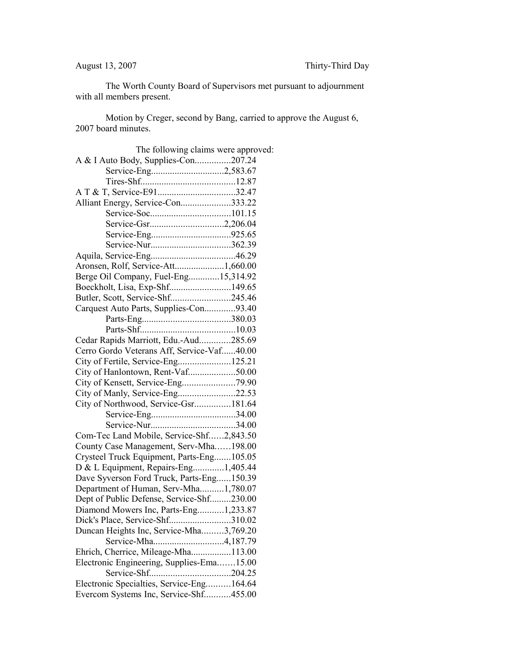The Worth County Board of Supervisors met pursuant to adjournment with all members present.

Motion by Creger, second by Bang, carried to approve the August 6, 2007 board minutes.

| The following claims were approved:        |  |
|--------------------------------------------|--|
| A & I Auto Body, Supplies-Con207.24        |  |
|                                            |  |
|                                            |  |
|                                            |  |
| Alliant Energy, Service-Con333.22          |  |
|                                            |  |
| Service-Gsr2,206.04                        |  |
|                                            |  |
|                                            |  |
|                                            |  |
| Aronsen, Rolf, Service-Att1,660.00         |  |
| Berge Oil Company, Fuel-Eng15,314.92       |  |
| Boeckholt, Lisa, Exp-Shf149.65             |  |
| Butler, Scott, Service-Shf245.46           |  |
| Carquest Auto Parts, Supplies-Con93.40     |  |
|                                            |  |
|                                            |  |
| Cedar Rapids Marriott, Edu.-Aud285.69      |  |
| Cerro Gordo Veterans Aff, Service-Vaf40.00 |  |
| City of Fertile, Service-Eng125.21         |  |
| City of Hanlontown, Rent-Vaf50.00          |  |
|                                            |  |
| City of Manly, Service-Eng22.53            |  |
| City of Northwood, Service-Gsr181.64       |  |
|                                            |  |
|                                            |  |
| Com-Tec Land Mobile, Service-Shf2,843.50   |  |
| County Case Management, Serv-Mha198.00     |  |
| Crysteel Truck Equipment, Parts-Eng105.05  |  |
| D & L Equipment, Repairs-Eng1,405.44       |  |
| Dave Syverson Ford Truck, Parts-Eng150.39  |  |
| Department of Human, Serv-Mha1,780.07      |  |
| Dept of Public Defense, Service-Shf230.00  |  |
| Diamond Mowers Inc, Parts-Eng1,233.87      |  |
| Dick's Place, Service-Shf310.02            |  |
| Duncan Heights Inc, Service-Mha3,769.20    |  |
| Service-Mha4,187.79                        |  |
| Ehrich, Cherrice, Mileage-Mha113.00        |  |
| Electronic Engineering, Supplies-Ema15.00  |  |
|                                            |  |
| Electronic Specialties, Service-Eng164.64  |  |
| Evercom Systems Inc, Service-Shf455.00     |  |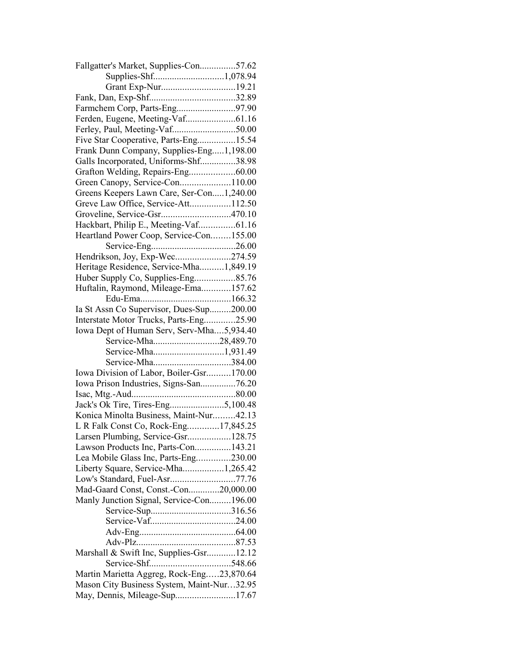| Fallgatter's Market, Supplies-Con57.62     |  |
|--------------------------------------------|--|
| Supplies-Shf1,078.94                       |  |
|                                            |  |
|                                            |  |
| Farmchem Corp, Parts-Eng97.90              |  |
|                                            |  |
|                                            |  |
| Five Star Cooperative, Parts-Eng15.54      |  |
| Frank Dunn Company, Supplies-Eng1,198.00   |  |
| Galls Incorporated, Uniforms-Shf38.98      |  |
| Grafton Welding, Repairs-Eng60.00          |  |
| Green Canopy, Service-Con110.00            |  |
| Greens Keepers Lawn Care, Ser-Con1,240.00  |  |
|                                            |  |
| Greve Law Office, Service-Att112.50        |  |
| Groveline, Service-Gsr470.10               |  |
| Hackbart, Philip E., Meeting-Vaf61.16      |  |
| Heartland Power Coop, Service-Con155.00    |  |
|                                            |  |
| Hendrikson, Joy, Exp-Wec274.59             |  |
| Heritage Residence, Service-Mha1,849.19    |  |
| Huber Supply Co, Supplies-Eng85.76         |  |
| Huftalin, Raymond, Mileage-Ema157.62       |  |
|                                            |  |
| Ia St Assn Co Supervisor, Dues-Sup200.00   |  |
| Interstate Motor Trucks, Parts-Eng25.90    |  |
| Iowa Dept of Human Serv, Serv-Mha5,934.40  |  |
| Service-Mha28,489.70                       |  |
| Service-Mha1,931.49                        |  |
| Service-Mha384.00                          |  |
| Iowa Division of Labor, Boiler-Gsr170.00   |  |
| Iowa Prison Industries, Signs-San76.20     |  |
|                                            |  |
|                                            |  |
|                                            |  |
| Konica Minolta Business, Maint-Nur42.13    |  |
| L R Falk Const Co, Rock-Eng17,845.25       |  |
| Larsen Plumbing, Service-Gsr128.75         |  |
| Lawson Products Inc, Parts-Con143.21       |  |
| Lea Mobile Glass Inc, Parts-Eng230.00      |  |
| Liberty Square, Service-Mha1,265.42        |  |
| Low's Standard, Fuel-Asr77.76              |  |
| Mad-Gaard Const, Const.-Con20,000.00       |  |
| Manly Junction Signal, Service-Con196.00   |  |
|                                            |  |
|                                            |  |
|                                            |  |
|                                            |  |
| Marshall & Swift Inc, Supplies-Gsr12.12    |  |
|                                            |  |
| Martin Marietta Aggreg, Rock-Eng23,870.64  |  |
|                                            |  |
| Mason City Business System, Maint-Nur32.95 |  |
| May, Dennis, Mileage-Sup17.67              |  |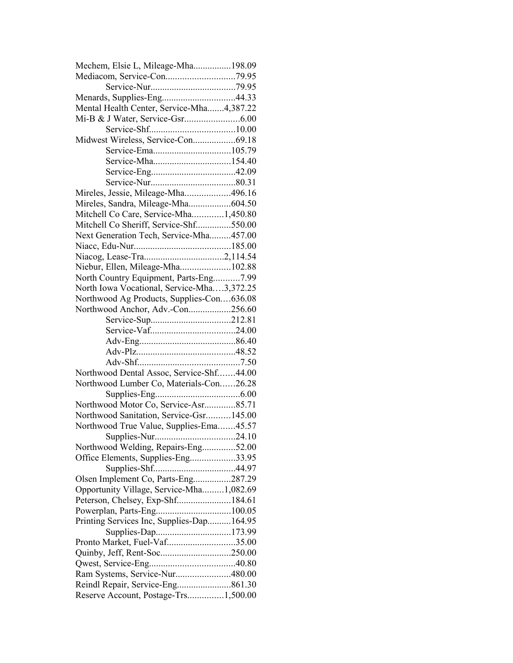| Mechem, Elsie L, Mileage-Mha198.09                                 |  |
|--------------------------------------------------------------------|--|
|                                                                    |  |
|                                                                    |  |
| Menards, Supplies-Eng44.33                                         |  |
| Mental Health Center, Service-Mha4,387.22                          |  |
|                                                                    |  |
|                                                                    |  |
| Midwest Wireless, Service-Con69.18                                 |  |
|                                                                    |  |
| Service-Mha154.40                                                  |  |
|                                                                    |  |
|                                                                    |  |
| Mireles, Jessie, Mileage-Mha496.16                                 |  |
| Mireles, Sandra, Mileage-Mha604.50                                 |  |
| Mitchell Co Care, Service-Mha1,450.80                              |  |
| Mitchell Co Sheriff, Service-Shf550.00                             |  |
| Next Generation Tech, Service-Mha457.00                            |  |
|                                                                    |  |
|                                                                    |  |
| Niebur, Ellen, Mileage-Mha102.88                                   |  |
| North Country Equipment, Parts-Eng7.99                             |  |
| North Iowa Vocational, Service-Mha3,372.25                         |  |
| Northwood Ag Products, Supplies-Con636.08                          |  |
| Northwood Anchor, Adv.-Con256.60                                   |  |
|                                                                    |  |
|                                                                    |  |
|                                                                    |  |
|                                                                    |  |
|                                                                    |  |
|                                                                    |  |
|                                                                    |  |
| Northwood Dental Assoc, Service-Shf44.00                           |  |
| Northwood Lumber Co, Materials-Con26.28                            |  |
|                                                                    |  |
| Northwood Motor Co, Service-Asr85.71                               |  |
| Northwood Sanitation, Service-Gsr145.00                            |  |
| Northwood True Value, Supplies-Ema45.57                            |  |
|                                                                    |  |
| Northwood Welding, Repairs-Eng52.00                                |  |
| Office Elements, Supplies-Eng33.95                                 |  |
|                                                                    |  |
| Olsen Implement Co, Parts-Eng287.29                                |  |
| Opportunity Village, Service-Mha1,082.69                           |  |
| Peterson, Chelsey, Exp-Shf184.61                                   |  |
|                                                                    |  |
| Printing Services Inc, Supplies-Dap164.95                          |  |
| Supplies-Dap173.99                                                 |  |
| Pronto Market, Fuel-Vaf35.00                                       |  |
|                                                                    |  |
|                                                                    |  |
| Ram Systems, Service-Nur480.00<br>Reindl Repair, Service-Eng861.30 |  |